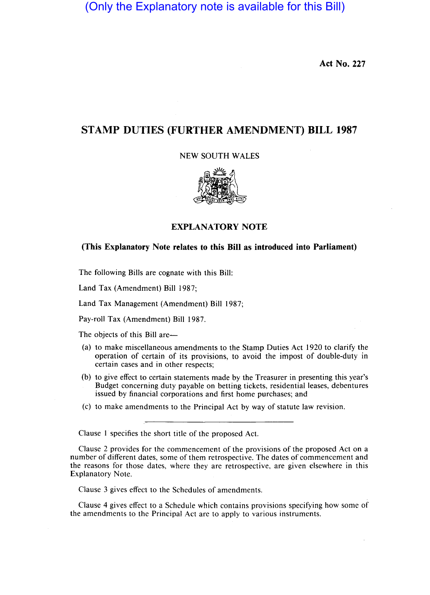(Only the Explanatory note is available for this Bill)

**Act No. 227** 

# **STAMP DUTIES (FURTHER AMENDMENT) BILL 1987**

NEW SOUTH WALES



### **EXPLANATORY NOTE**

## **(This Explanatory Note relates to this Bill as introduced into Parliament)**

The following Bills are cognate with this Bill:

Land Tax (Amendment) Bill 1987;

Land Tax Management (Amendment) Bill 1987;

Pay-roll Tax (Amendment) Bill 1987.

The objects of this Bill are-

- (a) to make miscellaneous amendments to the Stamp Duties Act 1920 to clarify the operation of certain of its provisions, to avoid the impost of double-duty in certain cases and in other respects;
- (b) to give effect to certain statements made by the Treasurer in presenting this year's Budget concerning duty payable on betting tickets, residential leases, debentures issued by financial corporations and first home purchases; and
- (c) to make amendments to the Principal Act by way of statute law revision.

Clause 1 specifies the short title of the proposed Act.

Clause 2 provides for the commencement of the provisions of the proposed Act on a number of different dates, some of them retrospective. The dates of commencement and the reasons for those dates, where they are retrospective, are given elsewhere in this Explanatory Note.

Clause 3 gives effect to the Schedules of amendments.

Clause 4 gives effect to a Schedule which contains provisions specifying how some of the amendments to the Principal Act are to apply to various instruments.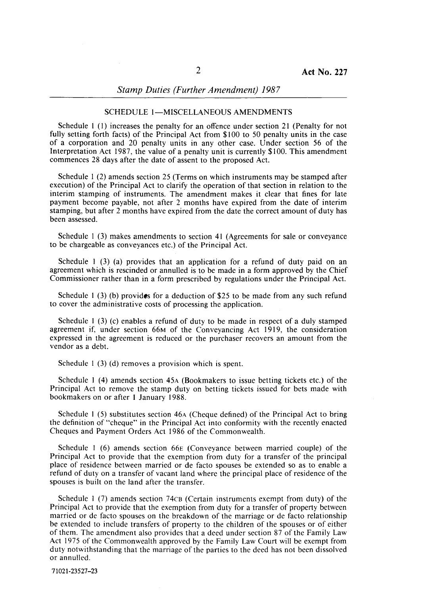## *Stamp Duties (Further Amendment) 1987*

#### SCHEDULE 1-MISCELLANEOUS AMENDMENTS

Schedule I (I) increases the penalty for an offence under section 21 (Penalty for not fully setting forth facts) of the Principal Act from \$100 to 50 penalty units in the case of a corporation and 20 penalty units in any other case. Under section 56 of the Interpretation Act 1987, the value of a penalty unit is currently  $$100$ . This amendment commences 28 days after the date of assent to the proposed Act.

Schedule I (2) amends section 25 (Terms on which instruments may be stamped after execution) of the Principal Act to clarify the operation of that section in relation to the interim stamping of instruments. The amendment makes it clear that fines for late payment become payable, not after 2 months have expired from the date of interim stamping, but after 2 months have expired from the date the correct amount of duty has been assessed.

Schedule I (3) makes amendments to section **41** (Agreements for sale or conveyance to be chargeable as conveyances etc.) of the Principal Act.

Schedule 1 (3) (a) provides that an application for a refund of duty paid on an agreement which is rescinded or annulled is to be made in a form approved by the Chief Commissioner rather than in a form prescribed by regulations under the Principal Act.

Schedule I (3) (b) provides for a deduction of \$25 to be made from any such refund to cover the administrative costs of processing the application.

Schedule I (3) (c) enables a refund of duty to be made in respect of a duly stamped agreement if, under section 66M of the Conveyancing Act 1919, the consideration expressed in the agreement is reduced or the purchaser recovers an amount from the vendor as a debt.

Schedule 1 (3) (d) removes a provision which is spent.

Schedule 1 (4) amends section 45A (Bookmakers to issue betting tickets etc.) of the Principal Act to remove the stamp duty on betting tickets issued for bets made with bookmakers on or after 1 January 1988.

Schedule 1 (5) substitutes section 46A (Cheque defined) of the Principal Act to bring the definition of "cheque" in the Principal Act into conformity with the recently enacted Cheques and Payment Orders Act 1986 of the Commonwealth.

Schedule 1 (6) amends section 66E (Conveyance between married couple) of the Principal Act to provide that the exemption from duty for a transfer of the principal place of residence between married or de facto spouses be extended so as to enable a refund of duty on a transfer of vacant land where the principal place of residence of the spouses is built on the land after the transfer.

Schedule 1 (7) amends section 74cB (Certain instruments exempt from duty) of the Principal Act to provide that the exemption from duty for a transfer of property between married or de facto spouses on the breakdown of the marriage or de facto relationship be extended to include transfers of property to the children of the spouses or of either of them. The amendment also provides that a deed under section 87 of the Family Law Act 1975 of the Commonwealth approved by the Family Law Court will be exempt from duty notwithstanding that the marriage of the parties to the deed has not been dissolved or annulled.

71021-23527-23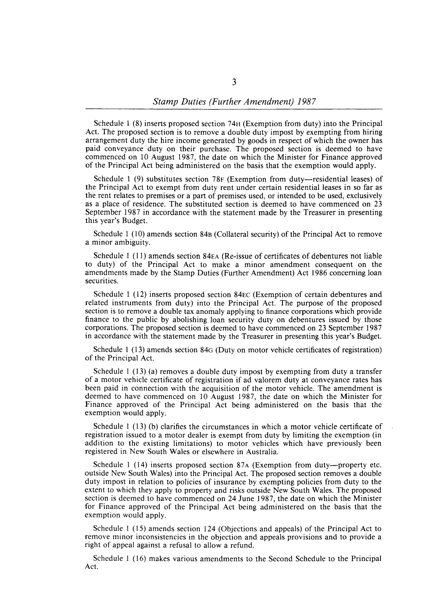Schedule 1 (8) inserts proposed section 74H (Exemption from duty) into the Principal Act. The proposed section is to remove a double duty impost by exempting from hiring arrangement duty the hire income generated by goods in respect of which the owner has paid conveyance duty on their purchase. The proposed section is deemed to have commenced on 10 August 1987, the date on which the Minister for Finance approved of the Principal Act being administered on the basis that the exemption would apply.

Schedule 1 (9) substitutes section 78 $F$  (Exemption from duty--residential leases) of the Principal Act to exempt from duty rent under certain residential leases in so far as the rent relates to premises or a part of premises used, or intended to be used, exclusively as a place of residence. The substituted section is deemed to have commenced on 23 September 1987 in accordance with the statement made by the Treasurer in presenting this year's Budget.

Schedule 1 (10) amends section 84B (Collateral security) of the Principal Act to remove a minor ambiguity.

Schedule I (11) amends section 84EA (Re-issue of certificates of debentures not liable to duty) of the Principal Act to make a minor amendment consequent on the amendments made by the Stamp Duties (Further Amendment) Act 1986 concerning loan securities.

Schedule 1 (12) inserts proposed section 84EC (Exemption of certain debentures and related instruments from duty) into the Principal Act. The purpose of the proposed section is to remove a double tax anomaly applying to finance corporations which provide finance to the public by abolishing loan security duty on debentures issued by those corporations. The proposed section is deemed to have commenced on 23 September 1987 in accordance with the statement made by the Treasurer in presenting this year's Budget.

Schedule I (13) amends section 84G (Duty on motor vehicle certificates of registration) of the Principal Act.

Schedule 1 (13) (a) removes a double duty impost by exempting from duty a transfer of a motor vehicle certificate of registration if ad valorem duty at conveyance rates has been paid in connection with the acquisition of the motor vehicle. The amendment is deemed to have commenced on 10 August 1987, the date on which the Minister for Finance approved of the Principal Act being administered on the basis that the exemption would apply.

Schedule I (13) (b) clarifies the circumstances in which a motor vehicle certificate of registration issued to a motor dealer is exempt from duty by limiting the exemption (in addition to the existing limitations) to motor vehicles which have previously been registered in New South Wales or elsewhere in Australia.

Schedule 1 (14) inserts proposed section 87A (Exemption from duty-property etc. outside New South Wales) into the Principal Act. The proposed section removes a double duty impost in relation to policies of insurance by exempting policies from duty to the extent to which they apply to property and risks outside New South Wales. The proposed section is deemed to have commenced on 24 June 1987, the date on which the Minister for Finance approved of the Principal Act being administered on the basis that the exemption would apply.

Schedule I (15) amends section 124 (Objections and appeals) of the Principal Act to remove minor inconsistencies in the objection and appeals provisions and to provide a right of appeal against a refusal to allow a refund.

Schedule I (16) makes various amendments to the Second Schedule to the Principal Act.